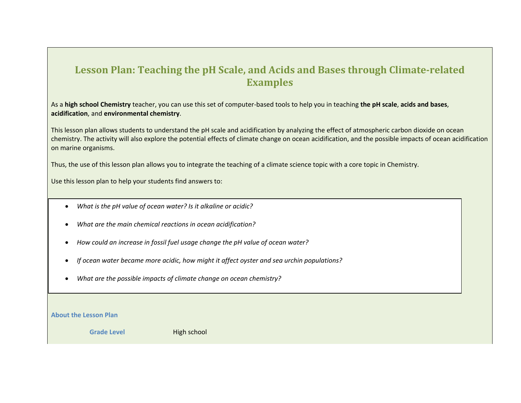### **Lesson Plan: Teaching the pH Scale, and Acids and Bases through Climate-related Examples**

As a **high school Chemistry** teacher, you can use this set of computer-based tools to help you in teaching **the pH scale**, **acids and bases**, **acidification**, and **environmental chemistry**.

This lesson plan allows students to understand the pH scale and acidification by analyzing the effect of atmospheric carbon dioxide on ocean chemistry. The activity will also explore the potential effects of climate change on ocean acidification, and the possible impacts of ocean acidification on marine organisms.

Thus, the use of this lesson plan allows you to integrate the teaching of a climate science topic with a core topic in Chemistry.

Use this lesson plan to help your students find answers to:

- *What is the pH value of ocean water? Is it alkaline or acidic?*
- *What are the main chemical reactions in ocean acidification?*
- *How could an increase in fossil fuel usage change the pH value of ocean water?*
- *If ocean water became more acidic, how might it affect oyster and sea urchin populations?*
- *What are the possible impacts of climate change on ocean chemistry?*

**About the Lesson Plan**

**Grade Level** High school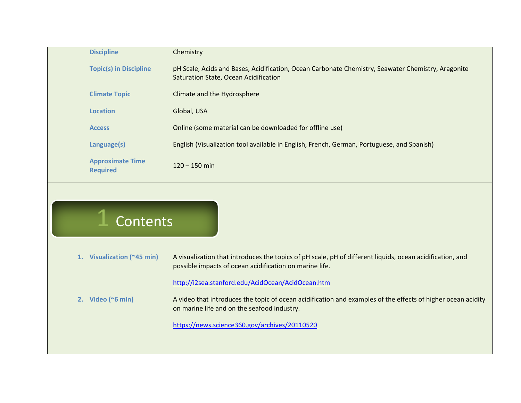| <b>Discipline</b>                          | Chemistry                                                                                                                                   |
|--------------------------------------------|---------------------------------------------------------------------------------------------------------------------------------------------|
| <b>Topic(s) in Discipline</b>              | pH Scale, Acids and Bases, Acidification, Ocean Carbonate Chemistry, Seawater Chemistry, Aragonite<br>Saturation State, Ocean Acidification |
| <b>Climate Topic</b>                       | Climate and the Hydrosphere                                                                                                                 |
| <b>Location</b>                            | Global, USA                                                                                                                                 |
| <b>Access</b>                              | Online (some material can be downloaded for offline use)                                                                                    |
| Language(s)                                | English (Visualization tool available in English, French, German, Portuguese, and Spanish)                                                  |
| <b>Approximate Time</b><br><b>Required</b> | $120 - 150$ min                                                                                                                             |
|                                            |                                                                                                                                             |

## Contents

**1. Visualization (~45 min)** A visualization that introduces the topics of pH scale, pH of different liquids, ocean acidification, and possible impacts of ocean acidification on marine life.

#### <http://i2sea.stanford.edu/AcidOcean/AcidOcean.htm>

**2. Video (~6 min)** A video that introduces the topic of ocean acidification and examples of the effects of higher ocean acidity on marine life and on the seafood industry.

<https://news.science360.gov/archives/20110520>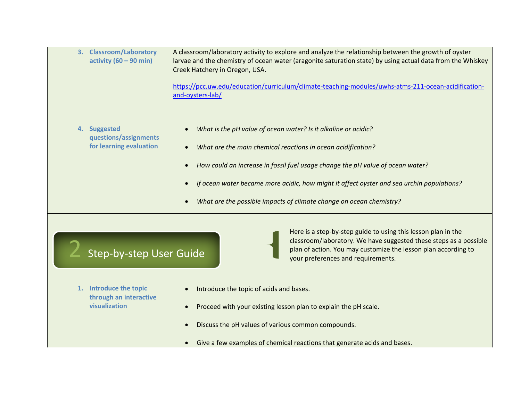| 3. Classroom/Laboratory          | A classroom/laboratory activity to explore and analyze the relationship between the growth of oyster       |
|----------------------------------|------------------------------------------------------------------------------------------------------------|
| activity $(60 - 90 \text{ min})$ | larvae and the chemistry of ocean water (aragonite saturation state) by using actual data from the Whiskey |
|                                  | Creek Hatchery in Oregon, USA.                                                                             |

[https://pcc.uw.edu/education/curriculum/climate-teaching-modules/uwhs-atms-211-ocean-acidification](https://pcc.uw.edu/education/curriculum/climate-teaching-modules/uwhs-atms-211-ocean-acidification-and-oysters-lab/)[and-oysters-lab/](https://pcc.uw.edu/education/curriculum/climate-teaching-modules/uwhs-atms-211-ocean-acidification-and-oysters-lab/)

- **4. Suggested questions/assignments for learning evaluation**
- *What is the pH value of ocean water? Is it alkaline or acidic?*
- *What are the main chemical reactions in ocean acidification?*
- *How could an increase in fossil fuel usage change the pH value of ocean water?*
- *If ocean water became more acidic, how might it affect oyster and sea urchin populations?*

your preferences and requirements.

Here is a step-by-step guide to using this lesson plan in the

classroom/laboratory. We have suggested these steps as a possible plan of action. You may customize the lesson plan according to

- *What are the possible impacts of climate change on ocean chemistry?*
- Step-by-step User Guide
- **1. Introduce the topic through an interactive visualization**
- Introduce the topic of acids and bases.
- Proceed with your existing lesson plan to explain the pH scale.
- Discuss the pH values of various common compounds.
- Give a few examples of chemical reactions that generate acids and bases.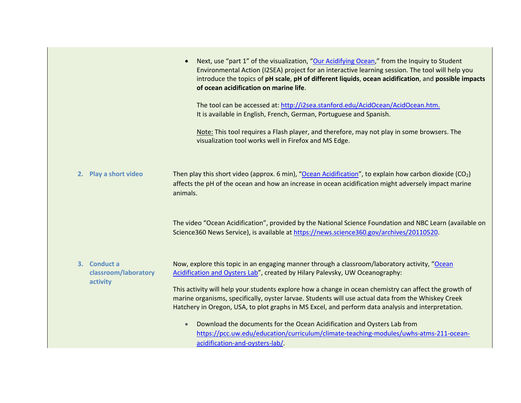|                                                  | Next, use "part 1" of the visualization, "Our Acidifying Ocean," from the Inquiry to Student<br>Environmental Action (I2SEA) project for an interactive learning session. The tool will help you<br>introduce the topics of pH scale, pH of different liquids, ocean acidification, and possible impacts<br>of ocean acidification on marine life.                                                                                                                                                   |
|--------------------------------------------------|------------------------------------------------------------------------------------------------------------------------------------------------------------------------------------------------------------------------------------------------------------------------------------------------------------------------------------------------------------------------------------------------------------------------------------------------------------------------------------------------------|
|                                                  | The tool can be accessed at: http://i2sea.stanford.edu/AcidOcean/AcidOcean.htm.<br>It is available in English, French, German, Portuguese and Spanish.                                                                                                                                                                                                                                                                                                                                               |
|                                                  | Note: This tool requires a Flash player, and therefore, may not play in some browsers. The<br>visualization tool works well in Firefox and MS Edge.                                                                                                                                                                                                                                                                                                                                                  |
| 2. Play a short video                            | Then play this short video (approx. 6 min), "Ocean Acidification", to explain how carbon dioxide ( $CO2$ )<br>affects the pH of the ocean and how an increase in ocean acidification might adversely impact marine<br>animals.                                                                                                                                                                                                                                                                       |
|                                                  | The video "Ocean Acidification", provided by the National Science Foundation and NBC Learn (available on<br>Science360 News Service), is available at https://news.science360.gov/archives/20110520.                                                                                                                                                                                                                                                                                                 |
| 3. Conduct a<br>classroom/laboratory<br>activity | Now, explore this topic in an engaging manner through a classroom/laboratory activity, "Ocean<br>Acidification and Oysters Lab", created by Hilary Palevsky, UW Oceanography:<br>This activity will help your students explore how a change in ocean chemistry can affect the growth of<br>marine organisms, specifically, oyster larvae. Students will use actual data from the Whiskey Creek<br>Hatchery in Oregon, USA, to plot graphs in MS Excel, and perform data analysis and interpretation. |
|                                                  | Download the documents for the Ocean Acidification and Oysters Lab from<br>$\bullet$<br>https://pcc.uw.edu/education/curriculum/climate-teaching-modules/uwhs-atms-211-ocean-<br>acidification-and-oysters-lab/.                                                                                                                                                                                                                                                                                     |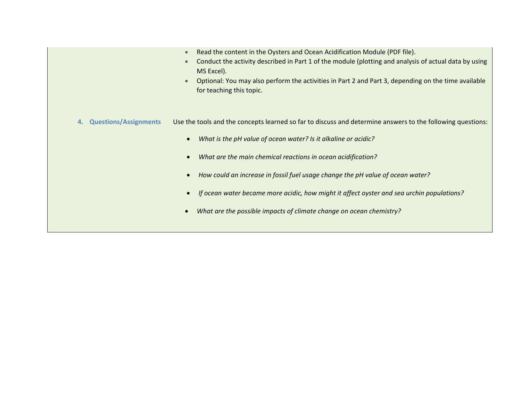|                                    | Read the content in the Oysters and Ocean Acidification Module (PDF file).<br>Conduct the activity described in Part 1 of the module (plotting and analysis of actual data by using<br>MS Excel).<br>Optional: You may also perform the activities in Part 2 and Part 3, depending on the time available<br>for teaching this topic.                                                                                                                                                               |
|------------------------------------|----------------------------------------------------------------------------------------------------------------------------------------------------------------------------------------------------------------------------------------------------------------------------------------------------------------------------------------------------------------------------------------------------------------------------------------------------------------------------------------------------|
| <b>Questions/Assignments</b><br>4. | Use the tools and the concepts learned so far to discuss and determine answers to the following questions:<br>What is the pH value of ocean water? Is it alkaline or acidic?<br>What are the main chemical reactions in ocean acidification?<br>How could an increase in fossil fuel usage change the pH value of ocean water?<br>If ocean water became more acidic, how might it affect oyster and sea urchin populations?<br>What are the possible impacts of climate change on ocean chemistry? |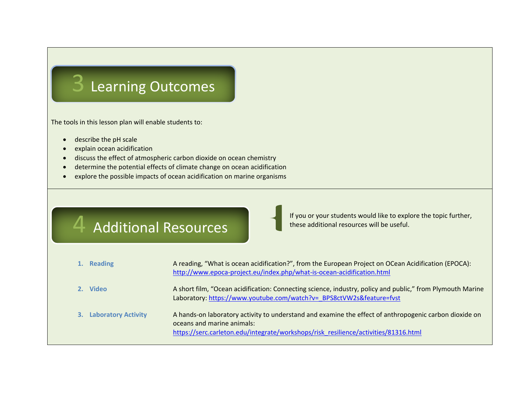# 3 Learning Outcomes

The tools in this lesson plan will enable students to:

- describe the pH scale
- explain ocean acidification
- discuss the effect of atmospheric carbon dioxide on ocean chemistry
- determine the potential effects of climate change on ocean acidification
- explore the possible impacts of ocean acidification on marine organisms

## 4 Additional Resources

If you or your students would like to explore the topic further, these additional resources will be useful.

| 1. Reading             | A reading, "What is ocean acidification?", from the European Project on OCean Acidification (EPOCA):<br>http://www.epoca-project.eu/index.php/what-is-ocean-acidification.html                                              |
|------------------------|-----------------------------------------------------------------------------------------------------------------------------------------------------------------------------------------------------------------------------|
| 2. Video               | A short film, "Ocean acidification: Connecting science, industry, policy and public," from Plymouth Marine<br>Laboratory: https://www.youtube.com/watch?v= BPS8ctVW2s&feature=fvst                                          |
| 3. Laboratory Activity | A hands-on laboratory activity to understand and examine the effect of anthropogenic carbon dioxide on<br>oceans and marine animals:<br>https://serc.carleton.edu/integrate/workshops/risk_resilience/activities/81316.html |